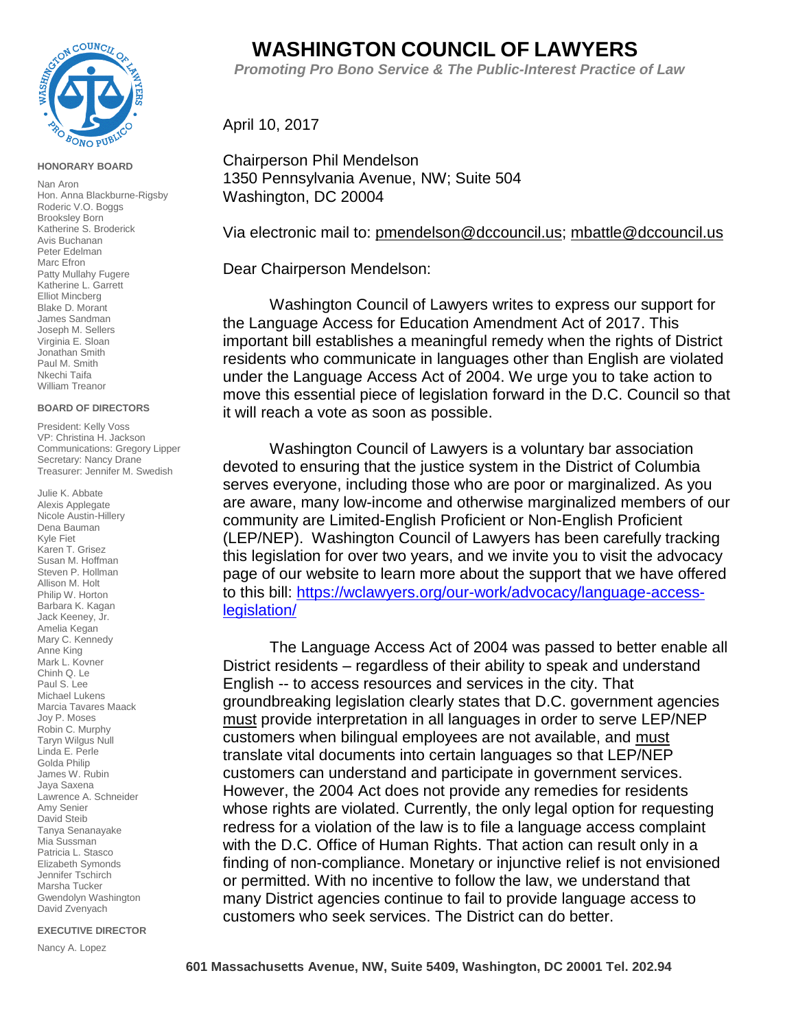

#### **HONORARY BOARD**

Nan Aron Hon. Anna Blackburne-Rigsby Roderic V.O. Boggs Brooksley Born Katherine S. Broderick Avis Buchanan Peter Edelman Marc Efron Patty Mullahy Fugere Katherine L. Garrett Elliot Mincberg Blake D. Morant James Sandman Joseph M. Sellers Virginia E. Sloan Jonathan Smith Paul M. Smith Nkechi Taifa William Treanor

#### **BOARD OF DIRECTORS**

President: Kelly Voss VP: Christina H. Jackson Communications: Gregory Lipper Secretary: Nancy Drane Treasurer: Jennifer M. Swedish

Julie K. Abbate Alexis Applegate Nicole Austin-Hillery Dena Bauman Kyle Fiet Karen T. Grisez Susan M. Hoffman Steven P. Hollman Allison M. Holt Philip W. Horton Barbara K. Kagan Jack Keeney, Jr. Amelia Kegan Mary C. Kennedy Anne King Mark L. Kovner Chinh Q. Le Paul S. Lee Michael Lukens Marcia Tavares Maack Joy P. Moses Robin C. Murphy Taryn Wilgus Null Linda E. Perle Golda Philip James W. Rubin Jaya Saxena Lawrence A. Schneider Amy Senier David Steib Tanya Senanayake Mia Sussman Patricia L. Stasco Elizabeth Symonds Jennifer Tschirch Marsha Tucker Gwendolyn Washington David Zvenyach

### **EXECUTIVE DIRECTOR**

Nancy A. Lopez

# **WASHINGTON COUNCIL OF LAWYERS**

 *Promoting Pro Bono Service & The Public-Interest Practice of Law*

## April 10, 2017

Chairperson Phil Mendelson 1350 Pennsylvania Avenue, NW; Suite 504 Washington, DC 20004

Via electronic mail to: [pmendelson@dccouncil.us;](mailto:pmendelson@dccouncil.us) [mbattle@dccouncil.us](mailto:mbattle@dccouncil.us)

Dear Chairperson Mendelson:

Washington Council of Lawyers writes to express our support for the Language Access for Education Amendment Act of 2017. This important bill establishes a meaningful remedy when the rights of District residents who communicate in languages other than English are violated under the Language Access Act of 2004. We urge you to take action to move this essential piece of legislation forward in the D.C. Council so that it will reach a vote as soon as possible.

Washington Council of Lawyers is a voluntary bar association devoted to ensuring that the justice system in the District of Columbia serves everyone, including those who are poor or marginalized. As you are aware, many low-income and otherwise marginalized members of our community are Limited-English Proficient or Non-English Proficient (LEP/NEP). Washington Council of Lawyers has been carefully tracking this legislation for over two years, and we invite you to visit the advocacy page of our website to learn more about the support that we have offered to this bill: [https://wclawyers.org/our-work/advocacy/language-access](https://wclawyers.org/our-work/advocacy/language-access-legislation/)[legislation/](https://wclawyers.org/our-work/advocacy/language-access-legislation/)

The Language Access Act of 2004 was passed to better enable all District residents – regardless of their ability to speak and understand English -- to access resources and services in the city. That groundbreaking legislation clearly states that D.C. government agencies must provide interpretation in all languages in order to serve LEP/NEP customers when bilingual employees are not available, and must translate vital documents into certain languages so that LEP/NEP customers can understand and participate in government services. However, the 2004 Act does not provide any remedies for residents whose rights are violated. Currently, the only legal option for requesting redress for a violation of the law is to file a language access complaint with the D.C. Office of Human Rights. That action can result only in a finding of non-compliance. Monetary or injunctive relief is not envisioned or permitted. With no incentive to follow the law, we understand that many District agencies continue to fail to provide language access to customers who seek services. The District can do better.